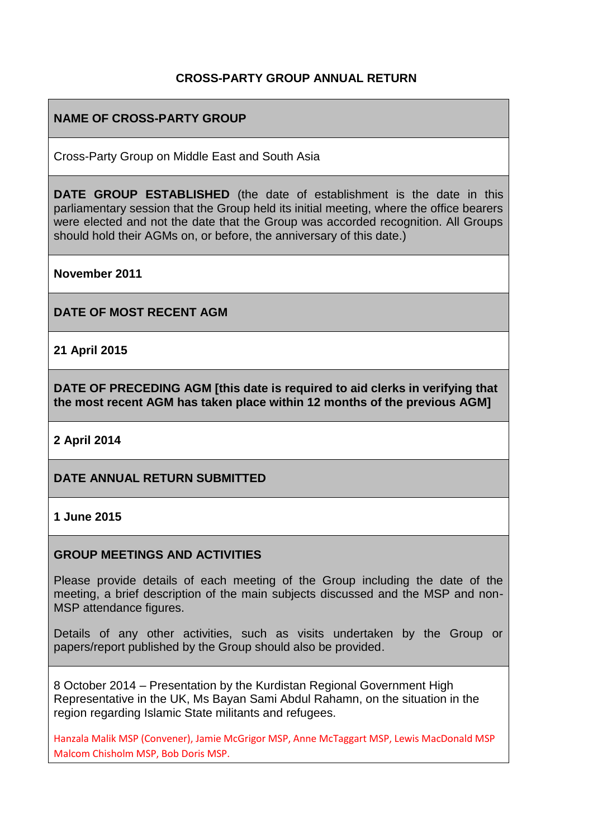# **CROSS-PARTY GROUP ANNUAL RETURN**

## **NAME OF CROSS-PARTY GROUP**

Cross-Party Group on Middle East and South Asia

**DATE GROUP ESTABLISHED** (the date of establishment is the date in this parliamentary session that the Group held its initial meeting, where the office bearers were elected and not the date that the Group was accorded recognition. All Groups should hold their AGMs on, or before, the anniversary of this date.)

**November 2011**

**DATE OF MOST RECENT AGM**

**21 April 2015**

**DATE OF PRECEDING AGM [this date is required to aid clerks in verifying that the most recent AGM has taken place within 12 months of the previous AGM]**

**2 April 2014**

### **DATE ANNUAL RETURN SUBMITTED**

#### **1 June 2015**

#### **GROUP MEETINGS AND ACTIVITIES**

Please provide details of each meeting of the Group including the date of the meeting, a brief description of the main subjects discussed and the MSP and non-MSP attendance figures.

Details of any other activities, such as visits undertaken by the Group or papers/report published by the Group should also be provided.

8 October 2014 – Presentation by the Kurdistan Regional Government High Representative in the UK, Ms Bayan Sami Abdul Rahamn, on the situation in the region regarding Islamic State militants and refugees.

Hanzala Malik MSP (Convener), Jamie McGrigor MSP, Anne McTaggart MSP, Lewis MacDonald MSP Malcom Chisholm MSP, Bob Doris MSP.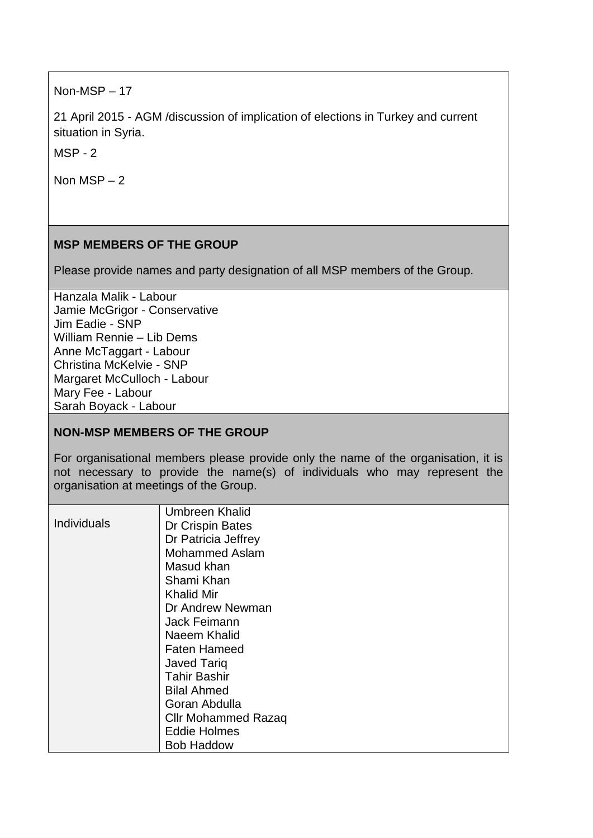Non-MSP – 17

21 April 2015 - AGM /discussion of implication of elections in Turkey and current situation in Syria.

MSP - 2

Non MSP – 2

# **MSP MEMBERS OF THE GROUP**

Please provide names and party designation of all MSP members of the Group.

Hanzala Malik - Labour Jamie McGrigor - Conservative Jim Eadie - SNP William Rennie – Lib Dems Anne McTaggart - Labour Christina McKelvie - SNP Margaret McCulloch - Labour Mary Fee - Labour Sarah Boyack - Labour

# **NON-MSP MEMBERS OF THE GROUP**

For organisational members please provide only the name of the organisation, it is not necessary to provide the name(s) of individuals who may represent the organisation at meetings of the Group.

|                    | Umbreen Khalid             |
|--------------------|----------------------------|
| <b>Individuals</b> | Dr Crispin Bates           |
|                    | Dr Patricia Jeffrey        |
|                    | <b>Mohammed Aslam</b>      |
|                    | Masud khan                 |
|                    | Shami Khan                 |
|                    | <b>Khalid Mir</b>          |
|                    | Dr Andrew Newman           |
|                    | Jack Feimann               |
|                    | Naeem Khalid               |
|                    | <b>Faten Hameed</b>        |
|                    | <b>Javed Tariq</b>         |
|                    | <b>Tahir Bashir</b>        |
|                    | <b>Bilal Ahmed</b>         |
|                    | Goran Abdulla              |
|                    | <b>Cllr Mohammed Razaq</b> |
|                    | <b>Eddie Holmes</b>        |
|                    | <b>Bob Haddow</b>          |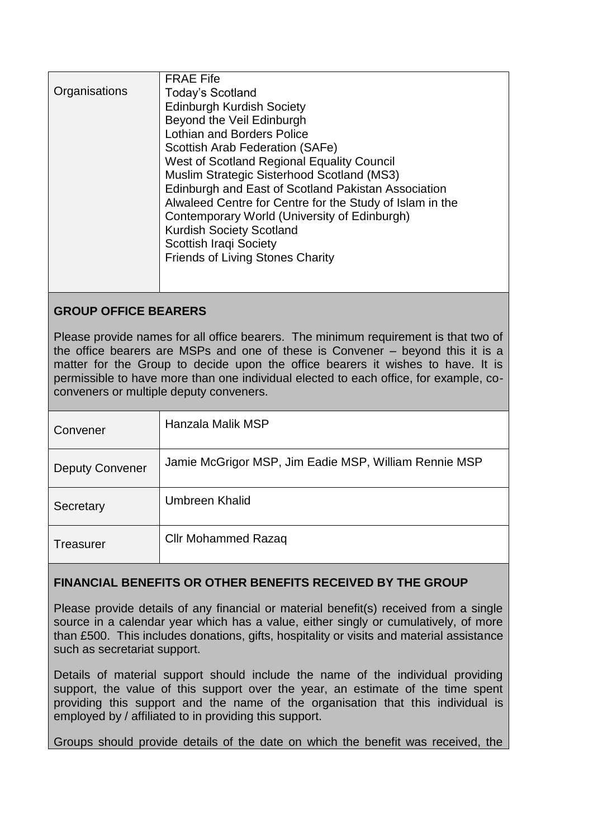| <b>FRAE Fife</b>                                         |
|----------------------------------------------------------|
| <b>Today's Scotland</b>                                  |
| <b>Edinburgh Kurdish Society</b>                         |
| Beyond the Veil Edinburgh                                |
| <b>Lothian and Borders Police</b>                        |
| Scottish Arab Federation (SAFe)                          |
| West of Scotland Regional Equality Council               |
| Muslim Strategic Sisterhood Scotland (MS3)               |
| Edinburgh and East of Scotland Pakistan Association      |
| Alwaleed Centre for Centre for the Study of Islam in the |
| Contemporary World (University of Edinburgh)             |
| <b>Kurdish Society Scotland</b>                          |
| <b>Scottish Iraqi Society</b>                            |
| <b>Friends of Living Stones Charity</b>                  |
|                                                          |
|                                                          |
|                                                          |

# **GROUP OFFICE BEARERS**

Please provide names for all office bearers. The minimum requirement is that two of the office bearers are MSPs and one of these is Convener – beyond this it is a matter for the Group to decide upon the office bearers it wishes to have. It is permissible to have more than one individual elected to each office, for example, coconveners or multiple deputy conveners.

| Convener               | Hanzala Malik MSP                                     |
|------------------------|-------------------------------------------------------|
| <b>Deputy Convener</b> | Jamie McGrigor MSP, Jim Eadie MSP, William Rennie MSP |
| Secretary              | Umbreen Khalid                                        |
| <b>Treasurer</b>       | <b>Cllr Mohammed Razaq</b>                            |

# **FINANCIAL BENEFITS OR OTHER BENEFITS RECEIVED BY THE GROUP**

Please provide details of any financial or material benefit(s) received from a single source in a calendar year which has a value, either singly or cumulatively, of more than £500. This includes donations, gifts, hospitality or visits and material assistance such as secretariat support.

Details of material support should include the name of the individual providing support, the value of this support over the year, an estimate of the time spent providing this support and the name of the organisation that this individual is employed by / affiliated to in providing this support.

Groups should provide details of the date on which the benefit was received, the